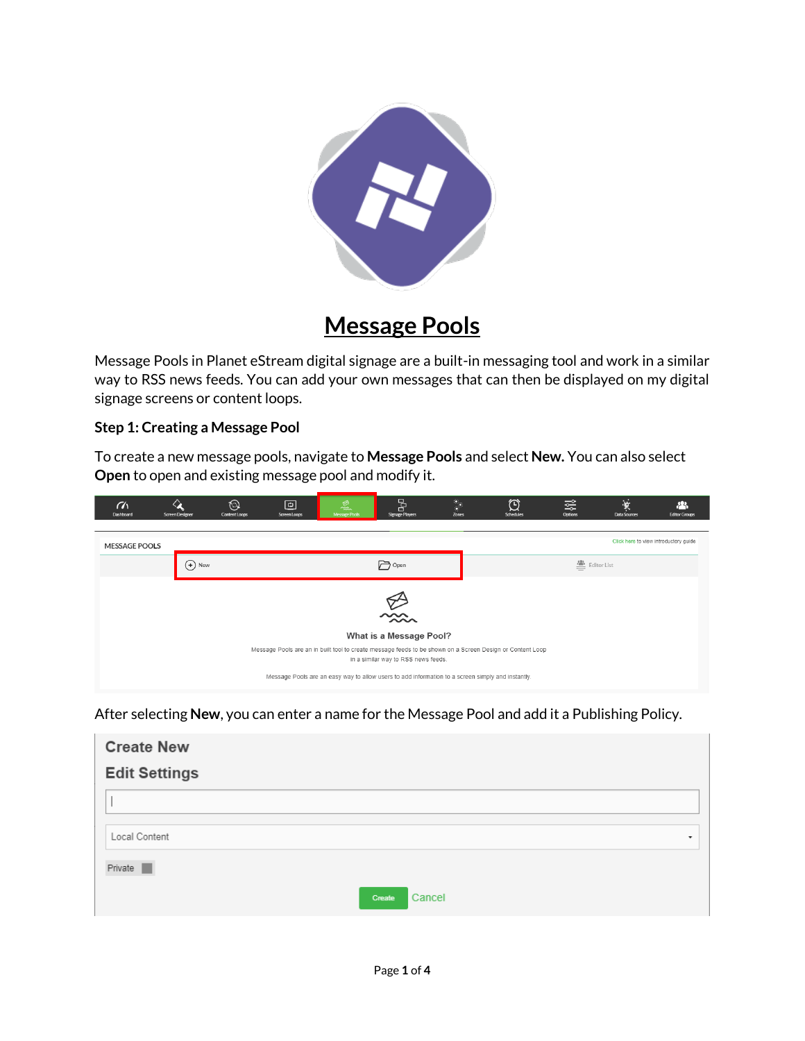

# **Message Pools**

Message Pools in Planet eStream digital signage are a built-in messaging tool and work in a similar way to RSS news feeds. You can add your own messages that can then be displayed on my digital signage screens or content loops.

### **Step 1: Creating a Message Pool**

To create a new message pools, navigate to **Message Pools** and select **New.** You can also select **Open** to open and existing message pool and modify it.

| $\alpha$<br>Dashboard                                                                                                                            | ୵<br>Screen Designer | ⊚<br>Content Loops | $\overline{c}$<br>Screen Loops | 飍<br>Message Pools | 5<br>Signage Players | $\ddot{\cdot}$<br>Zones | $\mathfrak{O}$<br>Schedules | 쯢<br>Options  | 实<br>Data Sources | 八<br><b>Editor Groups</b> |
|--------------------------------------------------------------------------------------------------------------------------------------------------|----------------------|--------------------|--------------------------------|--------------------|----------------------|-------------------------|-----------------------------|---------------|-------------------|---------------------------|
|                                                                                                                                                  |                      |                    |                                |                    |                      |                         |                             |               |                   |                           |
| Click here to view introductory guide<br><b>MESSAGE POOLS</b>                                                                                    |                      |                    |                                |                    |                      |                         |                             |               |                   |                           |
|                                                                                                                                                  | $(+)$ New            |                    |                                |                    | <b>P</b> open        |                         |                             | 图 Editor List |                   |                           |
|                                                                                                                                                  |                      |                    |                                |                    |                      |                         |                             |               |                   |                           |
| $\sum_{n=1}^{\infty}$                                                                                                                            |                      |                    |                                |                    |                      |                         |                             |               |                   |                           |
|                                                                                                                                                  |                      |                    |                                |                    |                      |                         |                             |               |                   |                           |
| What is a Message Pool?                                                                                                                          |                      |                    |                                |                    |                      |                         |                             |               |                   |                           |
| Message Pools are an in built tool to create message feeds to be shown on a Screen Design or Content Loop<br>in a similar way to RSS news feeds. |                      |                    |                                |                    |                      |                         |                             |               |                   |                           |
| Message Pools are an easy way to allow users to add information to a screen simply and instantly.                                                |                      |                    |                                |                    |                      |                         |                             |               |                   |                           |

After selecting **New**, you can enter a name for the Message Pool and add it a Publishing Policy.

| <b>Create New</b>    |                          |
|----------------------|--------------------------|
| <b>Edit Settings</b> |                          |
|                      |                          |
| Local Content        | $\overline{\phantom{a}}$ |
| Private              |                          |
|                      | Cancel<br>Create         |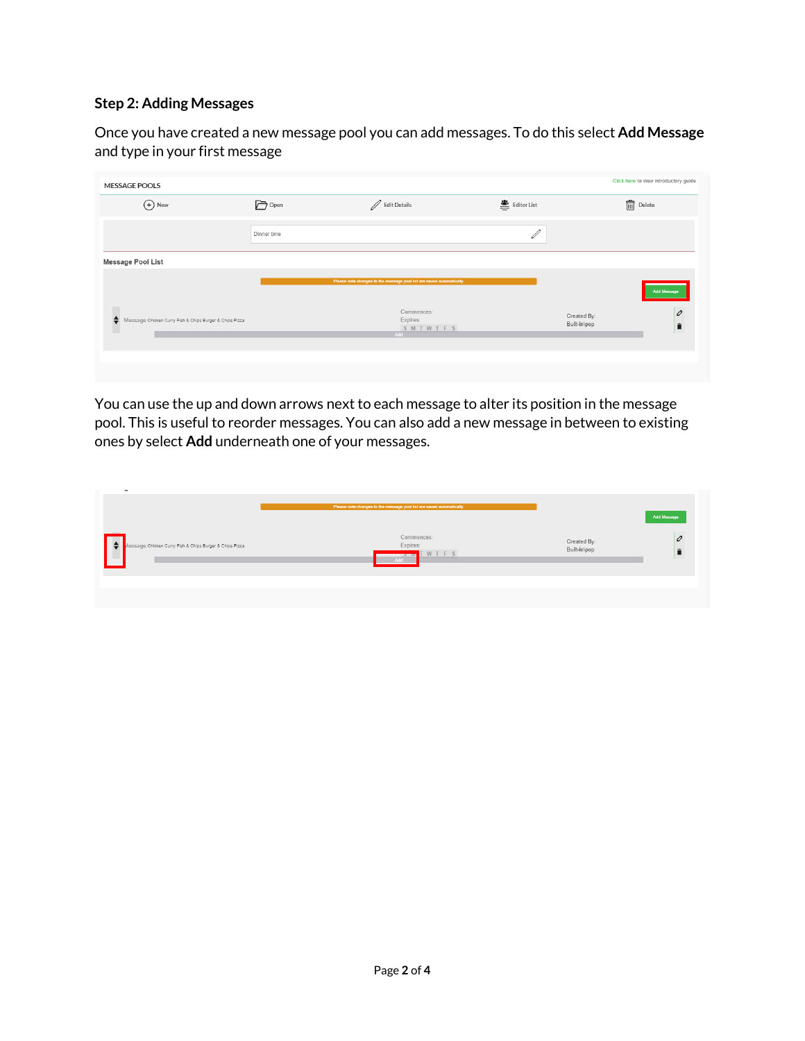## **Step 2: Adding Messages**

Once you have created a new message pool you can add messages. To do this select **Add Message**  and type in your first message

| <b>MESSAGE POOLS</b>                                               |             |                                                                       |                                                           | Click here to view introductory guide |
|--------------------------------------------------------------------|-------------|-----------------------------------------------------------------------|-----------------------------------------------------------|---------------------------------------|
| $\bigoplus$ New                                                    | Popen       | Bdit Details                                                          | $\stackrel{\circledR}{=}$ Editor List                     |                                       |
|                                                                    | Dinner time |                                                                       | $\mathcal{J}% _{M_{1},M_{2}}^{\alpha,\beta}(\varepsilon)$ |                                       |
| Message Pool List                                                  |             |                                                                       |                                                           |                                       |
|                                                                    |             | Please note changes to the message pool list are saved automatically. |                                                           | <b>Add Message</b>                    |
| ٠<br>Message: Chicken Curry Fish & Chips Burger & Chips Pizza<br>ш |             | Commences:<br>Expires:<br>SMTWTFS<br>Add                              |                                                           | 0<br>Created By:<br>Built-in\pop<br>Ê |
|                                                                    |             |                                                                       |                                                           |                                       |
|                                                                    |             |                                                                       |                                                           |                                       |

You can use the up and down arrows next to each message to alter its position in the message pool. This is useful to reorder messages. You can also add a new message in between to existing ones by select **Add** underneath one of your messages.

| -                                                                     | Please note changes to the message pool list are saved automatically. |                             | <b>Add Message</b> |
|-----------------------------------------------------------------------|-----------------------------------------------------------------------|-----------------------------|--------------------|
| $\bullet$<br>Aessage; Chicken Curry Fish & Chips Burger & Chips Pizza | Commences:<br>Expires:<br><b>Smit WTFS</b><br>Add                     | Created By:<br>Built-in\pop | $\mathcal{O}$      |
|                                                                       |                                                                       |                             |                    |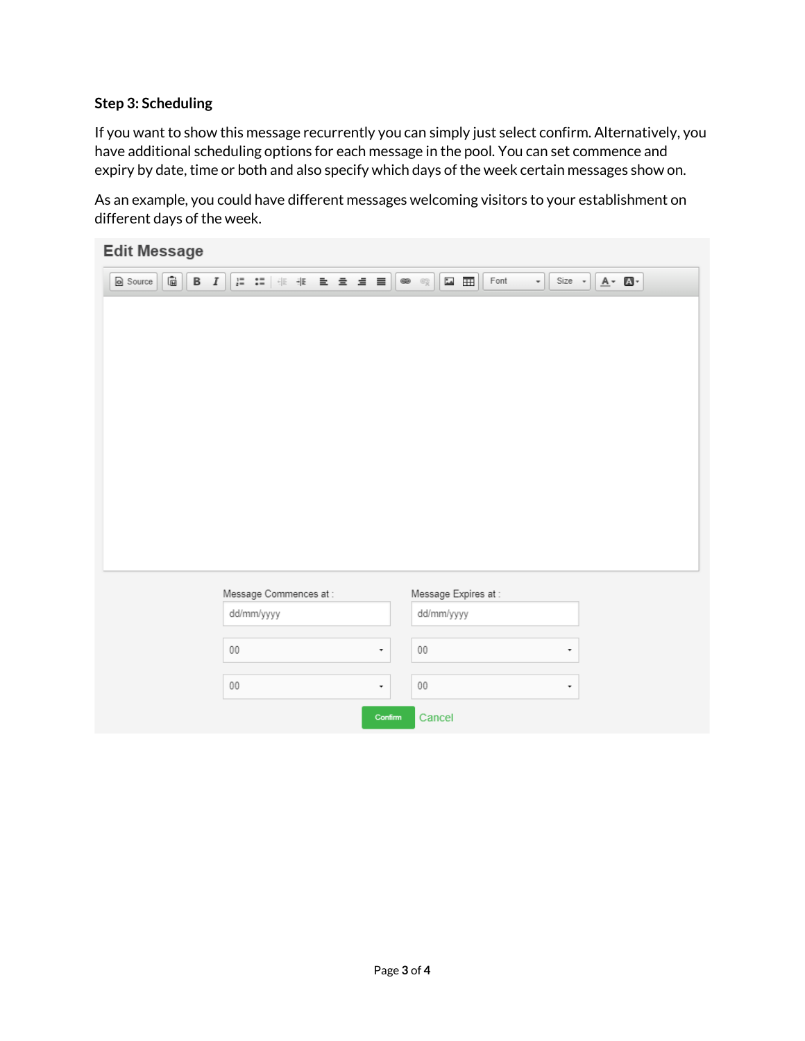#### **Step 3: Scheduling**

If you want to show this message recurrently you can simply just select confirm. Alternatively, you have additional scheduling options for each message in the pool. You can set commence and expiry by date, time or both and also specify which days of the week certain messages show on.

As an example, you could have different messages welcoming visitors to your establishment on different days of the week.